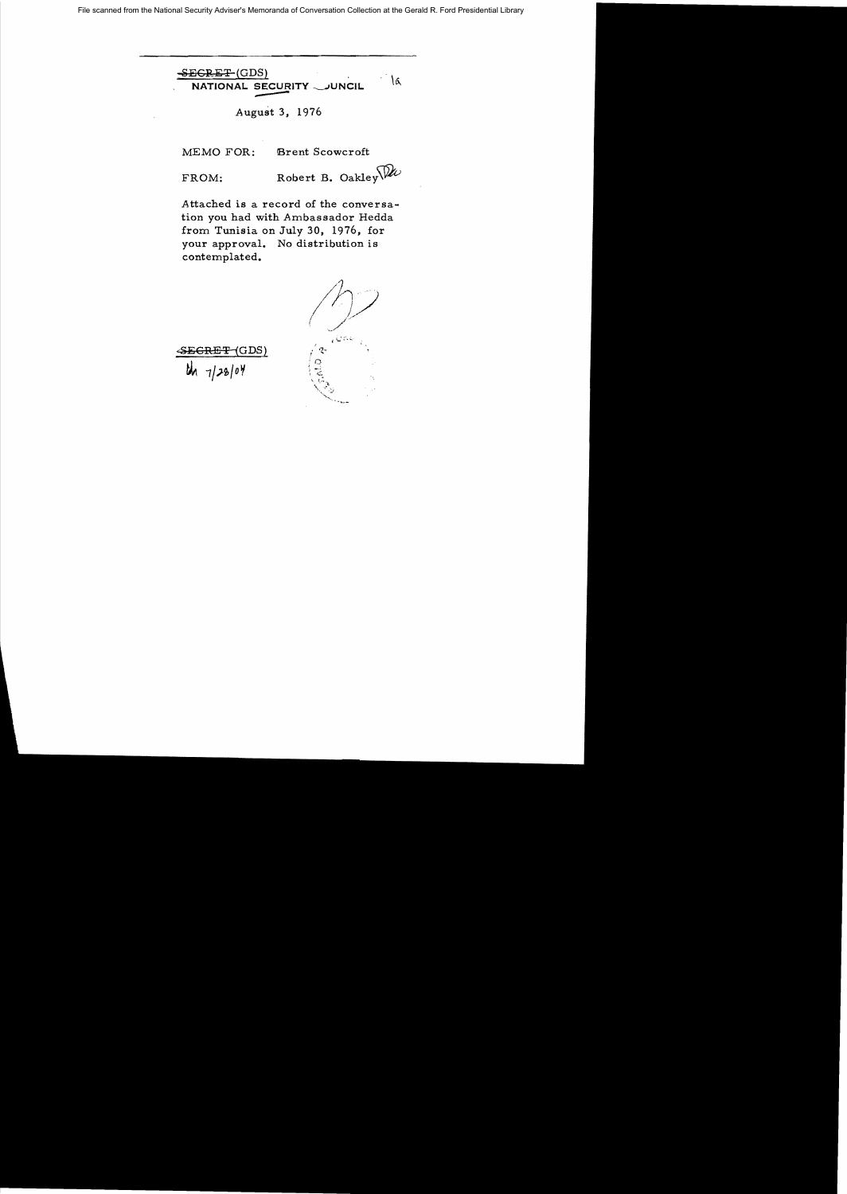| SEGRET(GDS)              |  |
|--------------------------|--|
| NATIONAL SECURITY JUNCIL |  |

August 3, 1976

MEMO FOR: Brent Scowcroft FROM: Robert B. Oakley  $\widehat{W}$ 

Attached is a record of the conversation you had with Ambassador Hedda from Tunisia on July 30, 1976, for your approval. No distribution is contemplated.

( \,.,' ;-'~ ....  $\hat{\mathcal{O}}$ ! ...";  $\setminus$  :

 $\overline{\blacktriangleleft\text{EGREF}}$  (GDS)  $\overline{\blacktriangleleft}$  is a set of  $\overline{\blacktriangleleft}$ ~ *1/;'9J/ O*¥ ! <sup>~</sup>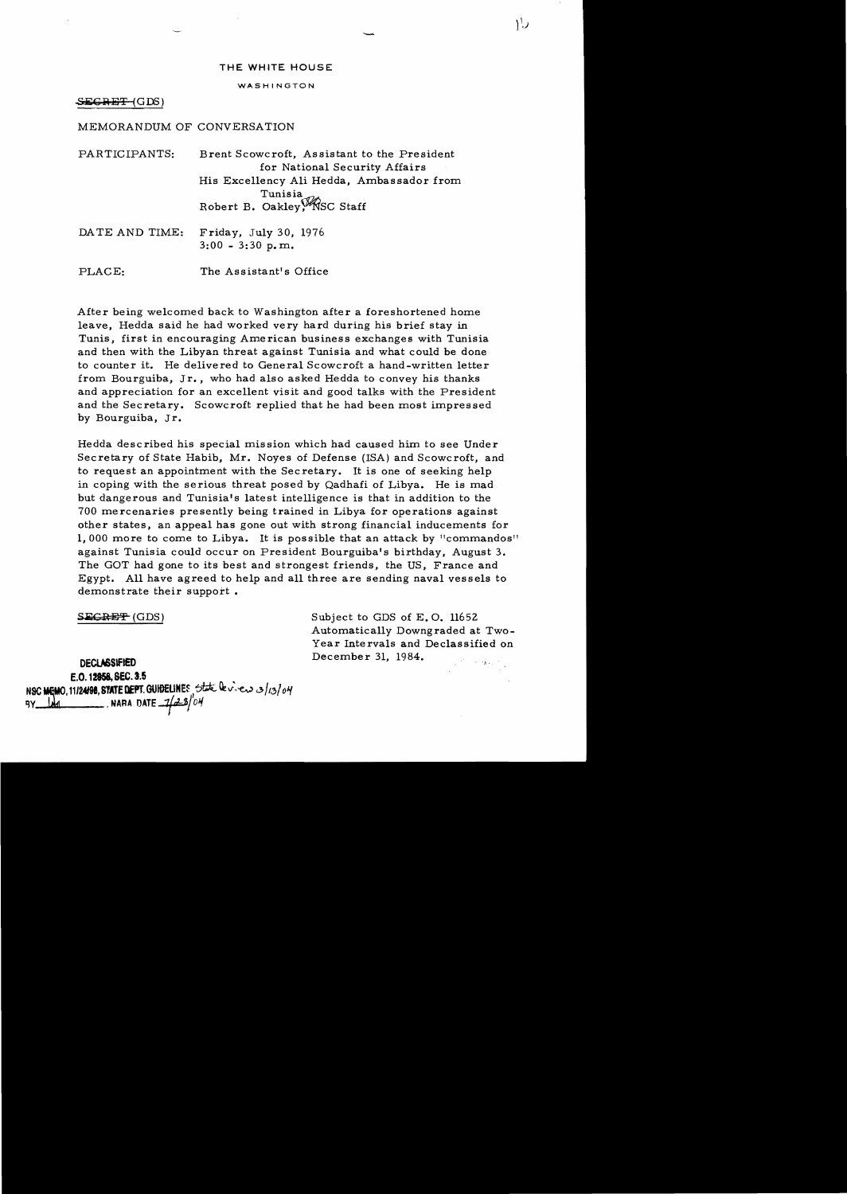## THE **WHITE** HOUSE

**WASHINGTON** 

SEGRET (GDS)

## MEMORANDUM OF CONVERSATION

| PARTICIPANTS: | Brent Scowcroft, Assistant to the President |
|---------------|---------------------------------------------|
|               | for National Security Affairs               |
|               | His Excellency Ali Hedda, Ambassador from   |
|               | Tunisia<br>Robert B. Oakley, KSC Staff      |
|               |                                             |
|               |                                             |
|               | DATE AND TIME: Friday, July 30, 1976        |

 $3:00 - 3:30$  p.m.

PLACE: The Assistant's Office

After being welcomed back to Washington after a foreshortened home leave, Hedda said he had worked very hard during his brief stay in Tunis, first in encouraging American business exchanges with Tunisia and then with the Libyan threat against Tunisia and what could be done to counter it. He delivered to General Scowcroft a hand-written letter from Bourguiba, Jr., who had also asked Hedda to convey his thanks and appreciation for an excellent visit and good talks with the President and the Secretary. Scowcroft replied that he had been most impressed by Bourguiba, Jr.

Hedda described his special mission which had caused him to see Under Secretary of State Habib, Mr. Noyes of Defense (ISA) and Scowcroft, and to request an appointment with the Secretary. It is one of seeking help in coping with the serious threat posed by Qadhafi of Libya. He is mad but dangerous and Tunisia's latest intelligence is that in addition to the 700 mercenaries presently being trained in Libya for operations against other states, an appeal has gone out with strong financial inducements for 1,000 more to come to Libya. It is possible that an attack by "commandos" against Tunisia could occur on President Bourguiba's birthday, August 3. The GOT had gone to its best and strongest friends, the US, France and Egypt. All have agreed to help and all three are sending naval vessels to demonstrate their support.

 $S_{\text{EGRBF}}$  (GDS) Subject to GDS of E.O. 11652 Automatically Downgraded at Two-Year Intervals and Declassified on December 31, 1984.

 $\mathcal{V}$ 

**DECLASSIFIED** E.O. 12958, SEC. 3.5 NSC MEMO, 11/24/98, STATE DEPT. GUIDELINES, State leview 3/13/04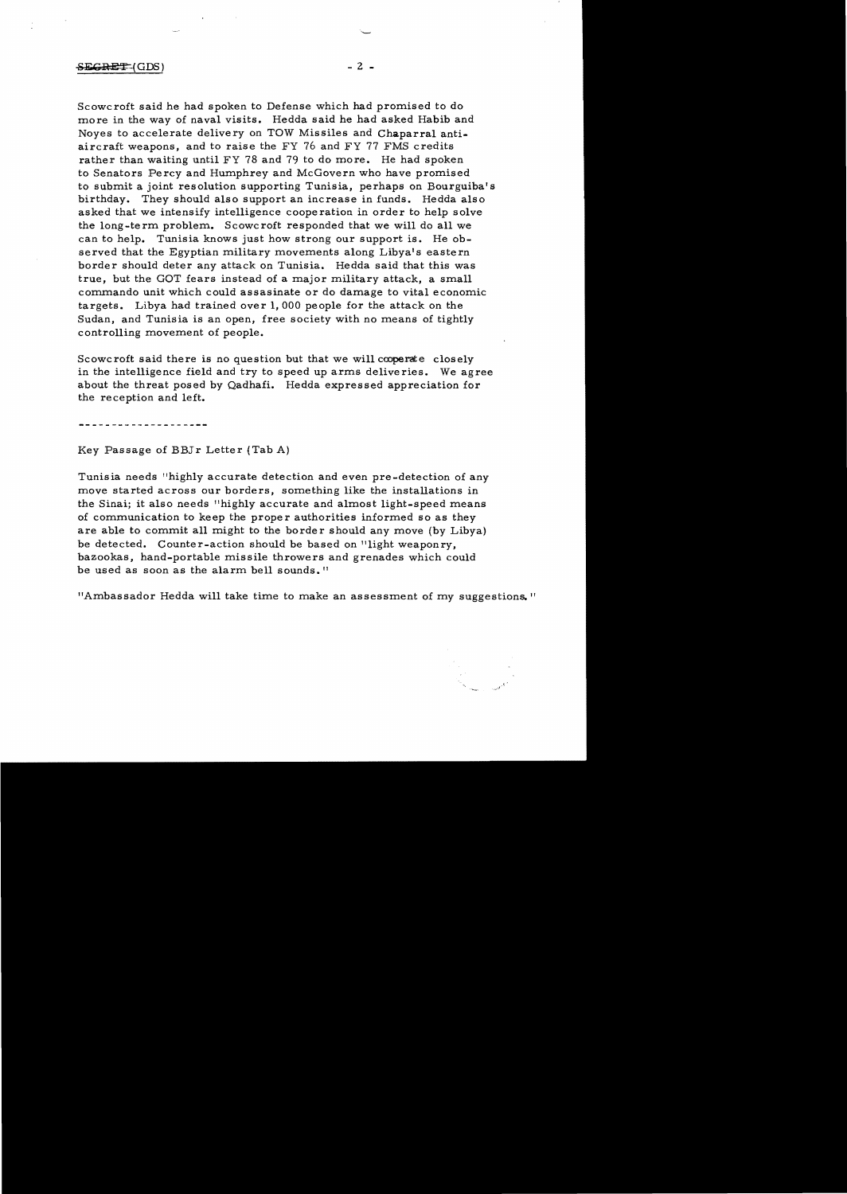## SEGRET(GDS)

Scowcroft said he had spoken to Defense which had promised to do more in the way of naval visits. Hedda said he had asked Habib and Noyes to accelerate delivery on TOW Missiles and Chaparral antiaircraft weapons, and to raise the FY 76 and FY 77 FMS credits rather than waiting until FY 78 and 79 to do more. He had spoken to Senators Percy and Humphrey and McGovern who have promised to submit a joint resolution supporting Tunisia, perhaps on Bourguiba's birthday. They should also support an increase in funds. Hedda also asked that we intensify intelligence cooperation in order to help solve the long-term problem. Scowcroft responded that we will do all we can to help. Tunisia knows just how strong our support is. He observed that the Egyptian military movements along Libya's eastern border should deter any attack on Tunisia. Hedda said that this was true, but the GOT fears instead of a major military attack, a small commando unit which could assasinate or do damage to vital economic targets. Libya had trained over 1,000 people for the attack on the Sudan, and Tunisia is an open, free society with no means of tightly controlling movement of people.

Scowcroft said there is no question but that we will cooperate closely in the intelligence field and try to speed up arms deliveries. We agree about the threat posed by Qadhafi. Hedda expressed appreciation for the re ception and left.

. . <u>. . . . . . . . . . . . . . .</u> .

Key Passage of BBJr Letter (Tab A)

Tunisia needs "highly accurate detection and even pre-detection of any move started across our borders, something like the installations in the Sinai; it also needs "highly accurate and almost light-speed means of communication to keep the prope r authorities informed so as they are able to commit all might to the border should any move (by Libya) be detected. Counter-action should be based on "light weaponry, bazookas, hand-portable missile throwers and grenades which could be used as soon as the alarm bell sounds."

"Ambassador Hedda will take time to make an assessment of my suggestions. "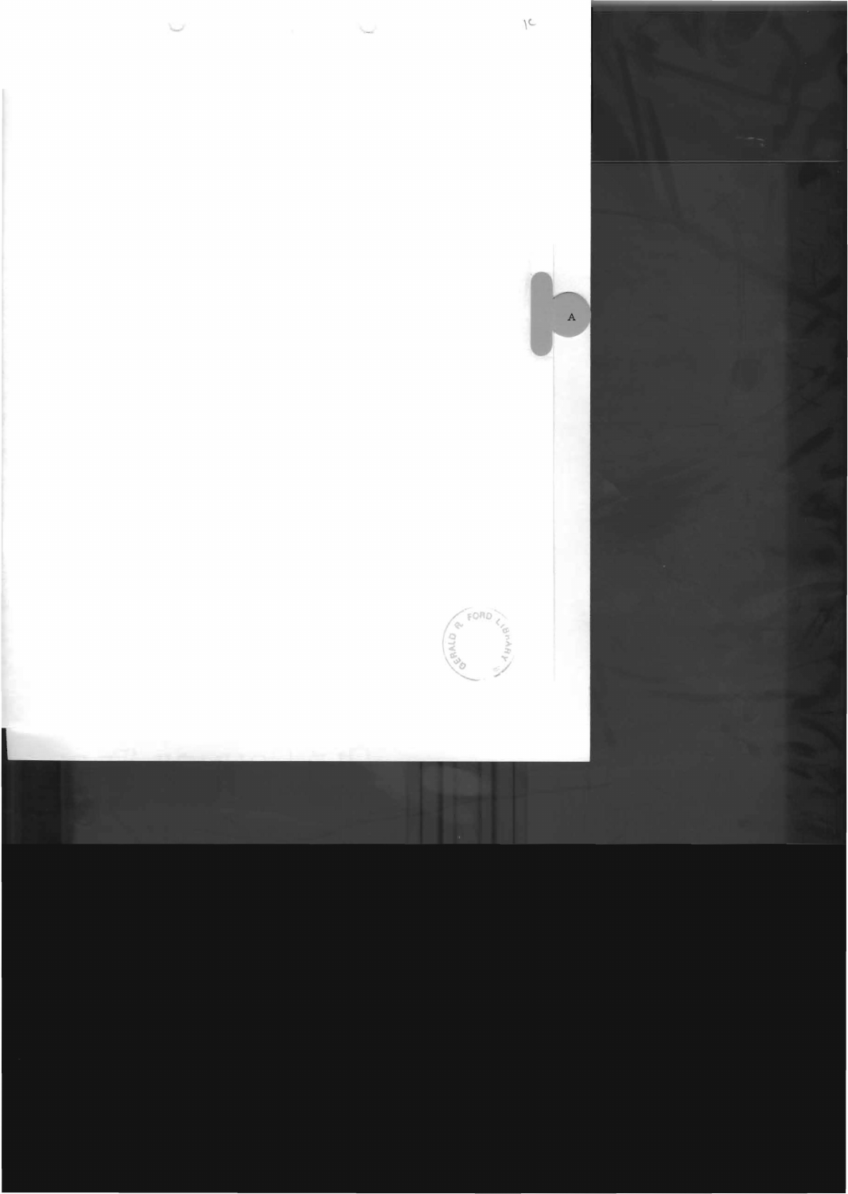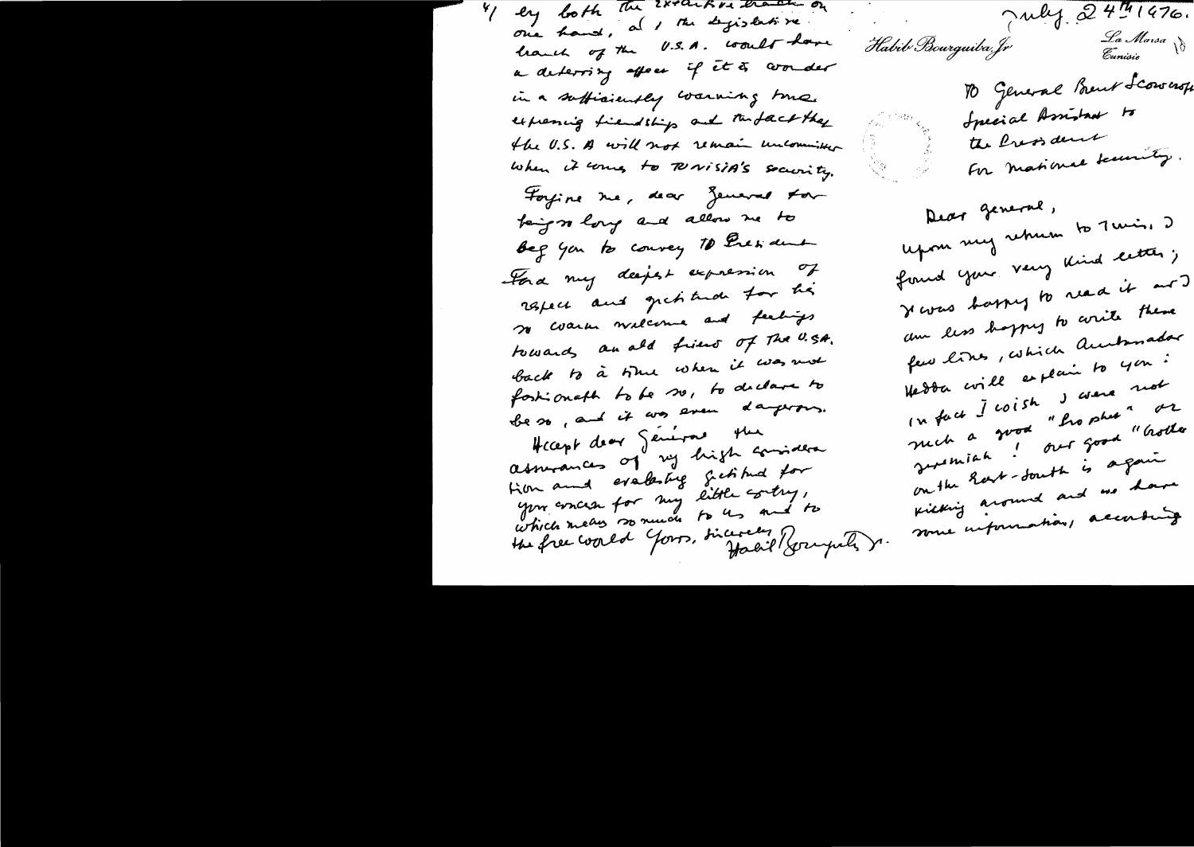ery both the extremessed eradin on hand of the U.S.A. coords have a deterring affect if it is wonder in a sufficiently coursing time. expressing fiendship and turbackthay the U.S. A will not remain uncommitted When it comes to TUNISIA's society. Forgine me, dear general tor thing on long and allow me to beg you to course, to Eresident Hora my deepest expression of respect and gratitude for his so coaren melcome and feelings towards an ald friend of the U.S.A. back to à tome when it was not fortionable to be no, to declare to beso, and it was even dayerous. Hecept dear general the assurances of my high consider tion and evalenting gets and for you concea for my little contry,<br>which means so much to us and to<br>the free world Yours, bicereen Rouguez

July 24<sup>141476.</sup> La Marsa <sub>\</sub>\\<br>Eunisie Habib Bourguila, fr

TO General Brent Scowersp Inecial Assistant to the Press dent For maximal technity.

Dear general, upon my return to Twis, J fromd your very kind letter; Nevers barry to read it and am less hoppy to arrite these few lines, which automator Hedda coill explain to you : in fact J coish J were not media vous "hoster" or deremiah ! out good "Godle on the Rent-doubt is again kilking around and us have some information, according